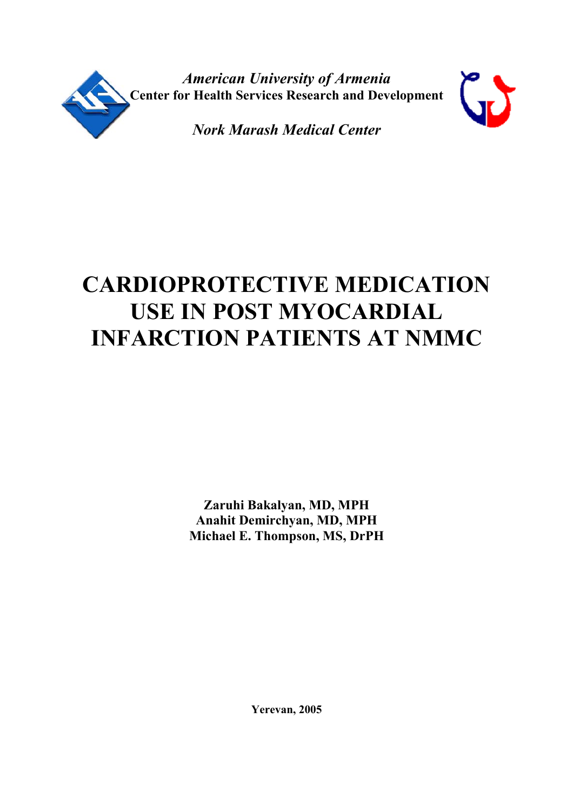

*American University of Armenia*  **Center for Health Services Research and Development** 



*Nork Marash Medical Center* 

# **CARDIOPROTECTIVE MEDICATION USE IN POST MYOCARDIAL INFARCTION PATIENTS AT NMMC**

**Zaruhi Bakalyan, MD, MPH Anahit Demirchyan, MD, MPH Michael E. Thompson, MS, DrPH**

**Yerevan, 2005**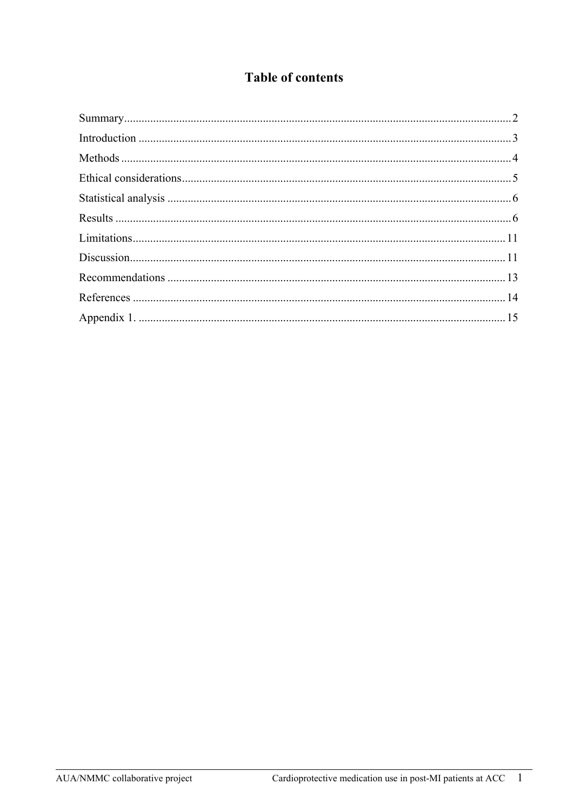# **Table of contents**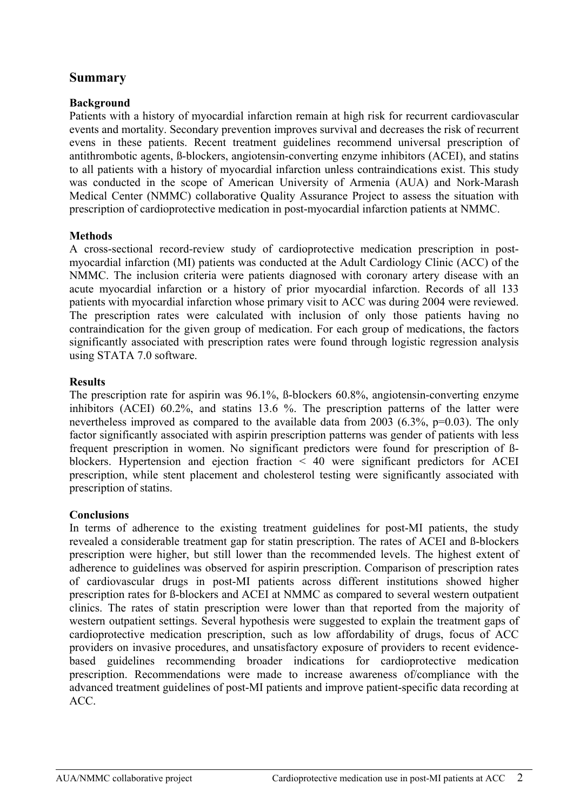## <span id="page-2-0"></span>**Summary**

#### **Background**

Patients with a history of myocardial infarction remain at high risk for recurrent cardiovascular events and mortality. Secondary prevention improves survival and decreases the risk of recurrent evens in these patients. Recent treatment guidelines recommend universal prescription of antithrombotic agents, ß-blockers, angiotensin-converting enzyme inhibitors (ACEI), and statins to all patients with a history of myocardial infarction unless contraindications exist. This study was conducted in the scope of American University of Armenia (AUA) and Nork-Marash Medical Center (NMMC) collaborative Quality Assurance Project to assess the situation with prescription of cardioprotective medication in post-myocardial infarction patients at NMMC.

#### **Methods**

A cross-sectional record-review study of cardioprotective medication prescription in postmyocardial infarction (MI) patients was conducted at the Adult Cardiology Clinic (ACC) of the NMMC. The inclusion criteria were patients diagnosed with coronary artery disease with an acute myocardial infarction or a history of prior myocardial infarction. Records of all 133 patients with myocardial infarction whose primary visit to ACC was during 2004 were reviewed. The prescription rates were calculated with inclusion of only those patients having no contraindication for the given group of medication. For each group of medications, the factors significantly associated with prescription rates were found through logistic regression analysis using STATA 7.0 software.

#### **Results**

The prescription rate for aspirin was 96.1%, ß-blockers 60.8%, angiotensin-converting enzyme inhibitors (ACEI) 60.2%, and statins 13.6 %. The prescription patterns of the latter were nevertheless improved as compared to the available data from 2003 (6.3%, p=0.03). The only factor significantly associated with aspirin prescription patterns was gender of patients with less frequent prescription in women. No significant predictors were found for prescription of ßblockers. Hypertension and ejection fraction < 40 were significant predictors for ACEI prescription, while stent placement and cholesterol testing were significantly associated with prescription of statins.

#### **Conclusions**

In terms of adherence to the existing treatment guidelines for post-MI patients, the study revealed a considerable treatment gap for statin prescription. The rates of ACEI and ß-blockers prescription were higher, but still lower than the recommended levels. The highest extent of adherence to guidelines was observed for aspirin prescription. Comparison of prescription rates of cardiovascular drugs in post-MI patients across different institutions showed higher prescription rates for ß-blockers and ACEI at NMMC as compared to several western outpatient clinics. The rates of statin prescription were lower than that reported from the majority of western outpatient settings. Several hypothesis were suggested to explain the treatment gaps of cardioprotective medication prescription, such as low affordability of drugs, focus of ACC providers on invasive procedures, and unsatisfactory exposure of providers to recent evidencebased guidelines recommending broader indications for cardioprotective medication prescription. Recommendations were made to increase awareness of/compliance with the advanced treatment guidelines of post-MI patients and improve patient-specific data recording at ACC.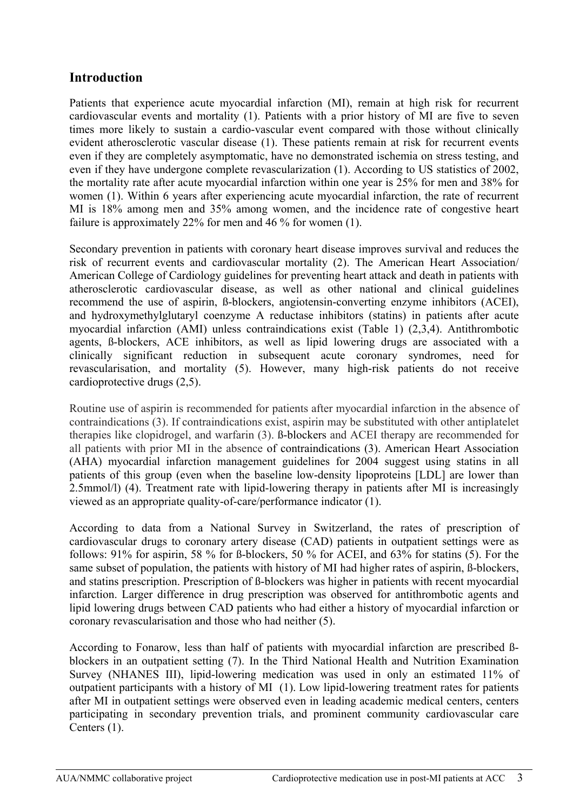# <span id="page-3-0"></span>**Introduction**

Patients that experience acute myocardial infarction (MI), remain at high risk for recurrent cardiovascular events and mortality (1). Patients with a prior history of MI are five to seven times more likely to sustain a cardio-vascular event compared with those without clinically evident atherosclerotic vascular disease (1). These patients remain at risk for recurrent events even if they are completely asymptomatic, have no demonstrated ischemia on stress testing, and even if they have undergone complete revascularization (1). According to US statistics of 2002, the mortality rate after acute myocardial infarction within one year is 25% for men and 38% for women (1). Within 6 years after experiencing acute myocardial infarction, the rate of recurrent MI is 18% among men and 35% among women, and the incidence rate of congestive heart failure is approximately 22% for men and 46 % for women (1).

Secondary prevention in patients with coronary heart disease improves survival and reduces the risk of recurrent events and cardiovascular mortality (2). The American Heart Association/ American College of Cardiology guidelines for preventing heart attack and death in patients with atherosclerotic cardiovascular disease, as well as other national and clinical guidelines recommend the use of aspirin, ß-blockers, angiotensin-converting enzyme inhibitors (ACEI), and hydroxymethylglutaryl coenzyme A reductase inhibitors (statins) in patients after acute myocardial infarction (AMI) unless contraindications exist (Table 1) (2,3,4). Antithrombotic agents, ß-blockers, ACE inhibitors, as well as lipid lowering drugs are associated with a clinically significant reduction in subsequent acute coronary syndromes, need for revascularisation, and mortality (5). However, many high-risk patients do not receive cardioprotective drugs (2,5).

Routine use of aspirin is recommended for patients after myocardial infarction in the absence of contraindications (3). If contraindications exist, aspirin may be substituted with other antiplatelet therapies like clopidrogel, and warfarin (3). ß-blockers and ACEI therapy are recommended for all patients with prior MI in the absence of contraindications (3). American Heart Association (AHA) myocardial infarction management guidelines for 2004 suggest using statins in all patients of this group (even when the baseline low-density lipoproteins [LDL] are lower than 2.5mmol/l) (4). Treatment rate with lipid-lowering therapy in patients after MI is increasingly viewed as an appropriate quality-of-care/performance indicator (1).

According to data from a National Survey in Switzerland, the rates of prescription of cardiovascular drugs to coronary artery disease (CAD) patients in outpatient settings were as follows: 91% for aspirin, 58 % for ß-blockers, 50 % for ACEI, and 63% for statins (5). For the same subset of population, the patients with history of MI had higher rates of aspirin,  $\beta$ -blockers, and statins prescription. Prescription of ß-blockers was higher in patients with recent myocardial infarction. Larger difference in drug prescription was observed for antithrombotic agents and lipid lowering drugs between CAD patients who had either a history of myocardial infarction or coronary revascularisation and those who had neither (5).

According to Fonarow, less than half of patients with myocardial infarction are prescribed ßblockers in an outpatient setting (7). In the Third National Health and Nutrition Examination Survey (NHANES III), lipid-lowering medication was used in only an estimated 11% of outpatient participants with a history of MI (1). Low lipid-lowering treatment rates for patients after MI in outpatient settings were observed even in leading academic medical centers, centers participating in secondary prevention trials, and prominent community cardiovascular care Centers (1).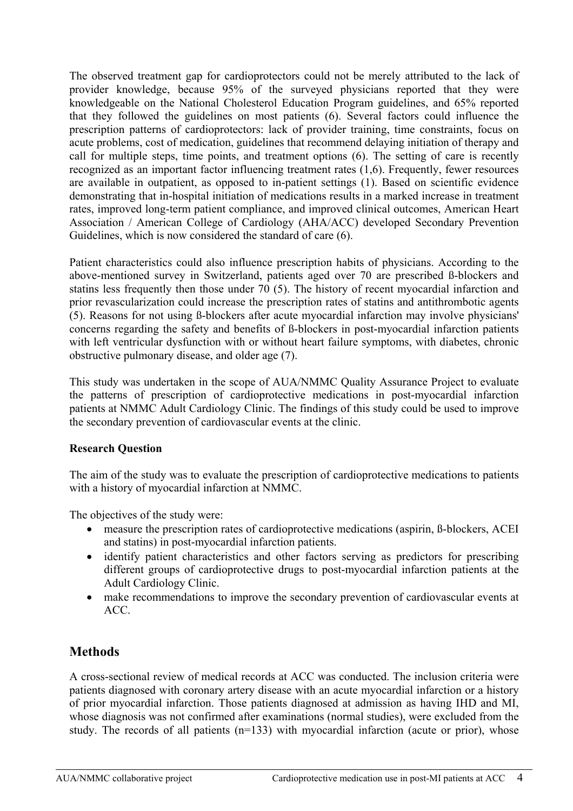<span id="page-4-0"></span>The observed treatment gap for cardioprotectors could not be merely attributed to the lack of provider knowledge, because 95% of the surveyed physicians reported that they were knowledgeable on the National Cholesterol Education Program guidelines, and 65% reported that they followed the guidelines on most patients (6). Several factors could influence the prescription patterns of cardioprotectors: lack of provider training, time constraints, focus on acute problems, cost of medication, guidelines that recommend delaying initiation of therapy and call for multiple steps, time points, and treatment options (6). The setting of care is recently recognized as an important factor influencing treatment rates (1,6). Frequently, fewer resources are available in outpatient, as opposed to in-patient settings (1). Based on scientific evidence demonstrating that in-hospital initiation of medications results in a marked increase in treatment rates, improved long-term patient compliance, and improved clinical outcomes, American Heart Association / American College of Cardiology (AHA/ACC) developed Secondary Prevention Guidelines, which is now considered the standard of care (6).

Patient characteristics could also influence prescription habits of physicians. According to the above-mentioned survey in Switzerland, patients aged over 70 are prescribed ß-blockers and statins less frequently then those under 70 (5). The history of recent myocardial infarction and prior revascularization could increase the prescription rates of statins and antithrombotic agents (5). Reasons for not using ß-blockers after acute myocardial infarction may involve physicians' concerns regarding the safety and benefits of ß-blockers in post-myocardial infarction patients with left ventricular dysfunction with or without heart failure symptoms, with diabetes, chronic obstructive pulmonary disease, and older age (7).

This study was undertaken in the scope of AUA/NMMC Quality Assurance Project to evaluate the patterns of prescription of cardioprotective medications in post-myocardial infarction patients at NMMC Adult Cardiology Clinic. The findings of this study could be used to improve the secondary prevention of cardiovascular events at the clinic.

#### **Research Question**

The aim of the study was to evaluate the prescription of cardioprotective medications to patients with a history of myocardial infarction at NMMC.

The objectives of the study were:

- measure the prescription rates of cardioprotective medications (aspirin, B-blockers, ACEI and statins) in post-myocardial infarction patients.
- identify patient characteristics and other factors serving as predictors for prescribing different groups of cardioprotective drugs to post-myocardial infarction patients at the Adult Cardiology Clinic.
- make recommendations to improve the secondary prevention of cardiovascular events at ACC.

# **Methods**

A cross-sectional review of medical records at ACC was conducted. The inclusion criteria were patients diagnosed with coronary artery disease with an acute myocardial infarction or a history of prior myocardial infarction. Those patients diagnosed at admission as having IHD and MI, whose diagnosis was not confirmed after examinations (normal studies), were excluded from the study. The records of all patients (n=133) with myocardial infarction (acute or prior), whose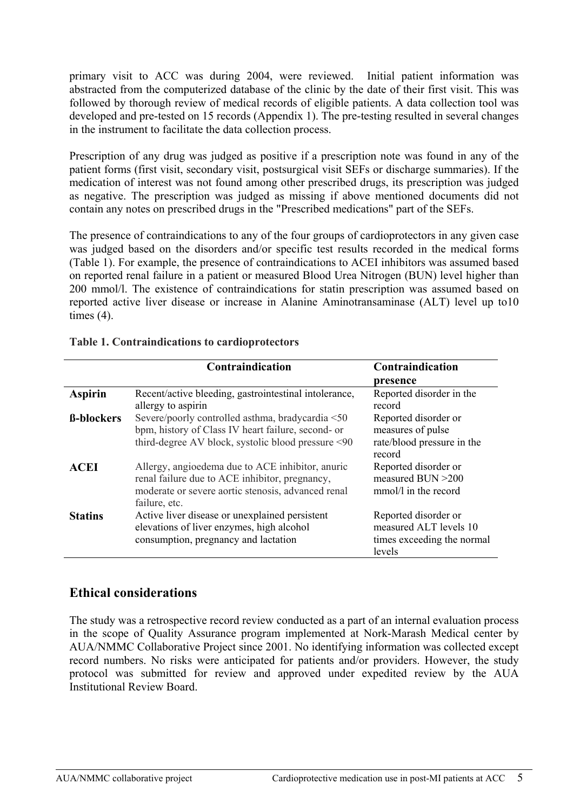<span id="page-5-0"></span>primary visit to ACC was during 2004, were reviewed. Initial patient information was abstracted from the computerized database of the clinic by the date of their first visit. This was followed by thorough review of medical records of eligible patients. A data collection tool was developed and pre-tested on 15 records (Appendix 1). The pre-testing resulted in several changes in the instrument to facilitate the data collection process.

Prescription of any drug was judged as positive if a prescription note was found in any of the patient forms (first visit, secondary visit, postsurgical visit SEFs or discharge summaries). If the medication of interest was not found among other prescribed drugs, its prescription was judged as negative. The prescription was judged as missing if above mentioned documents did not contain any notes on prescribed drugs in the "Prescribed medications" part of the SEFs.

The presence of contraindications to any of the four groups of cardioprotectors in any given case was judged based on the disorders and/or specific test results recorded in the medical forms (Table 1). For example, the presence of contraindications to ACEI inhibitors was assumed based on reported renal failure in a patient or measured Blood Urea Nitrogen (BUN) level higher than 200 mmol/l. The existence of contraindications for statin prescription was assumed based on reported active liver disease or increase in Alanine Aminotransaminase (ALT) level up to10 times (4).

|                   | Contraindication                                                                                                                                                          | Contraindication                                                                       |
|-------------------|---------------------------------------------------------------------------------------------------------------------------------------------------------------------------|----------------------------------------------------------------------------------------|
|                   |                                                                                                                                                                           | presence                                                                               |
| <b>Aspirin</b>    | Recent/active bleeding, gastrointestinal intolerance,<br>allergy to aspirin                                                                                               | Reported disorder in the<br>record                                                     |
| <b>ß-blockers</b> | Severe/poorly controlled asthma, bradycardia <50<br>bpm, history of Class IV heart failure, second- or<br>third-degree AV block, systolic blood pressure <90              | Reported disorder or<br>measures of pulse<br>rate/blood pressure in the<br>record      |
| <b>ACEI</b>       | Allergy, angioedema due to ACE inhibitor, anuric<br>renal failure due to ACE inhibitor, pregnancy,<br>moderate or severe aortic stenosis, advanced renal<br>failure, etc. | Reported disorder or<br>measured BUN >200<br>mmol/l in the record                      |
| <b>Statins</b>    | Active liver disease or unexplained persistent<br>elevations of liver enzymes, high alcohol<br>consumption, pregnancy and lactation                                       | Reported disorder or<br>measured ALT levels 10<br>times exceeding the normal<br>levels |

## **Table 1. Contraindications to cardioprotectors**

## **Ethical considerations**

The study was a retrospective record review conducted as a part of an internal evaluation process in the scope of Quality Assurance program implemented at Nork-Marash Medical center by AUA/NMMC Collaborative Project since 2001. No identifying information was collected except record numbers. No risks were anticipated for patients and/or providers. However, the study protocol was submitted for review and approved under expedited review by the AUA Institutional Review Board.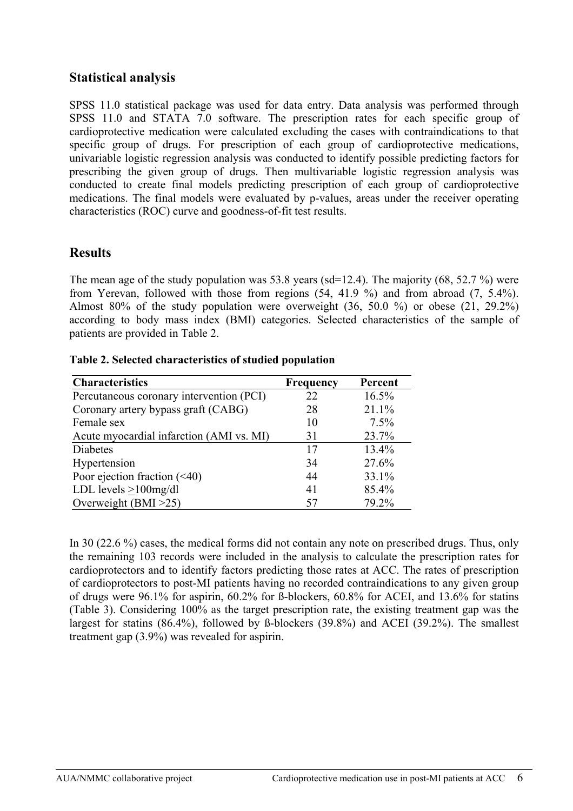## <span id="page-6-0"></span>**Statistical analysis**

SPSS 11.0 statistical package was used for data entry. Data analysis was performed through SPSS 11.0 and STATA 7.0 software. The prescription rates for each specific group of cardioprotective medication were calculated excluding the cases with contraindications to that specific group of drugs. For prescription of each group of cardioprotective medications, univariable logistic regression analysis was conducted to identify possible predicting factors for prescribing the given group of drugs. Then multivariable logistic regression analysis was conducted to create final models predicting prescription of each group of cardioprotective medications. The final models were evaluated by p-values, areas under the receiver operating characteristics (ROC) curve and goodness-of-fit test results.

## **Results**

The mean age of the study population was 53.8 years (sd=12.4). The majority (68, 52.7 %) were from Yerevan, followed with those from regions (54, 41.9 %) and from abroad (7, 5.4%). Almost 80% of the study population were overweight (36, 50.0 %) or obese (21, 29.2%) according to body mass index (BMI) categories. Selected characteristics of the sample of patients are provided in Table 2.

| <b>Characteristics</b>                   | <b>Frequency</b> | Percent |
|------------------------------------------|------------------|---------|
| Percutaneous coronary intervention (PCI) | 22               | 16.5%   |
| Coronary artery bypass graft (CABG)      | 28               | 21.1%   |
| Female sex                               | 10               | 7.5%    |
| Acute myocardial infarction (AMI vs. MI) | 31               | 23.7%   |
| Diabetes                                 | 17               | 13.4%   |
| Hypertension                             | 34               | 27.6%   |
| Poor ejection fraction $(\leq 40)$       | 44               | 33.1%   |
| LDL levels $>100$ mg/dl                  | 41               | 85.4%   |
| Overweight (BMI > 25)                    | 57               | 79.2%   |

**Table 2. Selected characteristics of studied population** 

In 30 (22.6 %) cases, the medical forms did not contain any note on prescribed drugs. Thus, only the remaining 103 records were included in the analysis to calculate the prescription rates for cardioprotectors and to identify factors predicting those rates at ACC. The rates of prescription of cardioprotectors to post-MI patients having no recorded contraindications to any given group of drugs were 96.1% for aspirin, 60.2% for ß-blockers, 60.8% for ACEI, and 13.6% for statins (Table 3). Considering 100% as the target prescription rate, the existing treatment gap was the largest for statins (86.4%), followed by ß-blockers (39.8%) and ACEI (39.2%). The smallest treatment gap (3.9%) was revealed for aspirin.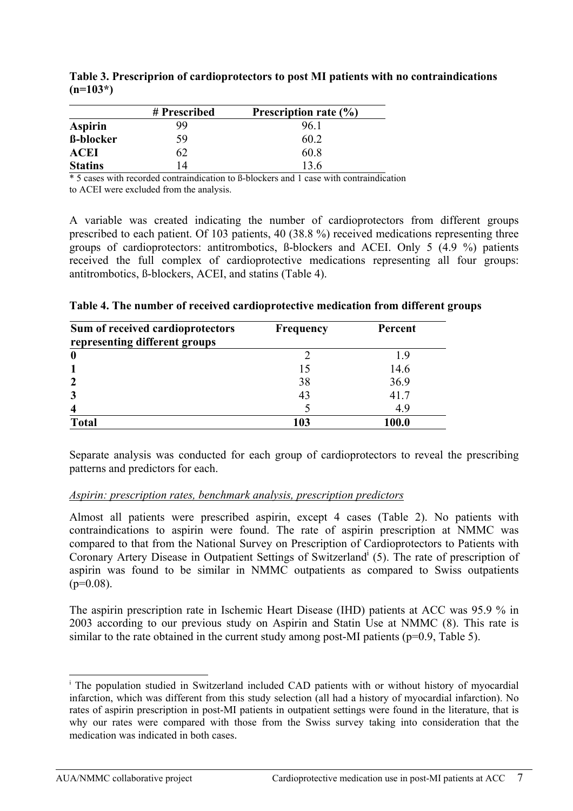|                  | # Prescribed | Prescription rate $(\% )$ |
|------------------|--------------|---------------------------|
| <b>Aspirin</b>   | 99           | 961                       |
| <b>ß-blocker</b> | 59           | 60 2                      |
| <b>ACEI</b>      | 62           | 60.8                      |
| <b>Statins</b>   | 14           | 13.6                      |

**Table 3. Prescriprion of cardioprotectors to post MI patients with no contraindications (n=103\*)** 

\* 5 cases with recorded contraindication to ß-blockers and 1 case with contraindication to ACEI were excluded from the analysis.

A variable was created indicating the number of cardioprotectors from different groups prescribed to each patient. Of 103 patients, 40 (38.8 %) received medications representing three groups of cardioprotectors: antitrombotics, ß-blockers and ACEI. Only 5 (4.9 %) patients received the full complex of cardioprotective medications representing all four groups: antitrombotics, ß-blockers, ACEI, and statins (Table 4).

| Sum of received cardioprotectors | <b>Frequency</b> | Percent |
|----------------------------------|------------------|---------|
| representing different groups    |                  |         |
| $\bf{0}$                         |                  | 9       |
|                                  | 15               | 14.6    |
| $\overline{2}$                   | 38               | 36.9    |
| 3                                | 43               | 41.7    |
| 4                                |                  | 4.9     |
| <b>Total</b>                     | 103              | 100.0   |

**Table 4. The number of received cardioprotective medication from different groups** 

Separate analysis was conducted for each group of cardioprotectors to reveal the prescribing patterns and predictors for each.

#### *Aspirin: prescription rates, benchmark analysis, prescription predictors*

Almost all patients were prescribed aspirin, except 4 cases (Table 2). No patients with contraindications to aspirin were found. The rate of aspirin prescription at NMMC was compared to that from the National Survey on Prescription of Cardioprotectors to Patients with Coronary Artery D[i](#page-7-0)sease in Outpatient Settings of Switzerland<sup>i</sup> (5). The rate of prescription of aspirin was found to be similar in NMMC outpatients as compared to Swiss outpatients  $(p=0.08)$ .

The aspirin prescription rate in Ischemic Heart Disease (IHD) patients at ACC was 95.9 % in 2003 according to our previous study on Aspirin and Statin Use at NMMC (8). This rate is similar to the rate obtained in the current study among post-MI patients ( $p=0.9$ , Table 5).

<span id="page-7-0"></span><sup>&</sup>lt;sup>i</sup> The population studied in Switzerland included CAD patients with or without history of myocardial infarction, which was different from this study selection (all had a history of myocardial infarction). No rates of aspirin prescription in post-MI patients in outpatient settings were found in the literature, that is why our rates were compared with those from the Swiss survey taking into consideration that the medication was indicated in both cases.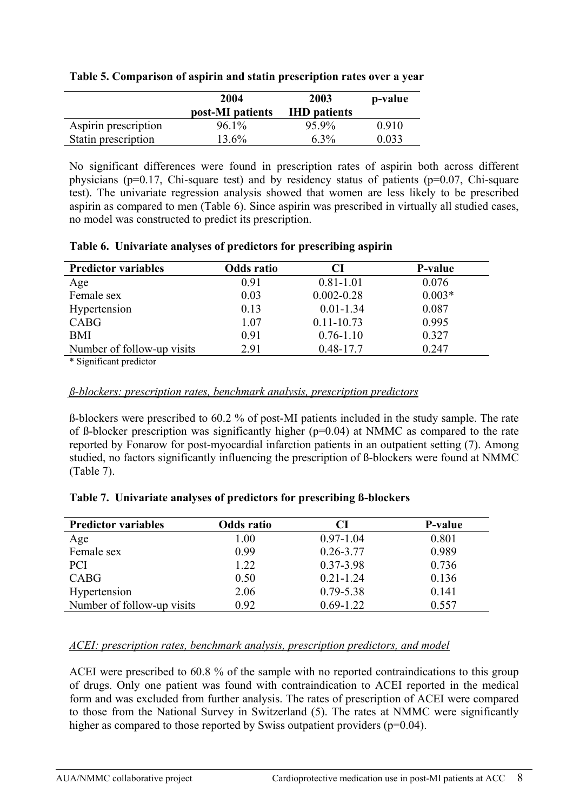|                      | 2004<br>post-MI patients | 2003<br><b>IHD</b> patients | p-value |
|----------------------|--------------------------|-----------------------------|---------|
| Aspirin prescription | 96.1%                    | 95.9%                       | 0.910   |
| Statin prescription  | $13.6\%$                 | $6.3\%$                     | 0.033   |

#### **Table 5. Comparison of aspirin and statin prescription rates over a year**

No significant differences were found in prescription rates of aspirin both across different physicians (p=0.17, Chi-square test) and by residency status of patients (p=0.07, Chi-square test). The univariate regression analysis showed that women are less likely to be prescribed aspirin as compared to men (Table 6). Since aspirin was prescribed in virtually all studied cases, no model was constructed to predict its prescription.

#### **Table 6. Univariate analyses of predictors for prescribing aspirin**

| <b>Predictor variables</b> | Odds ratio | CI             | <b>P-value</b> |
|----------------------------|------------|----------------|----------------|
| Age                        | 0.91       | $0.81 - 1.01$  | 0.076          |
| Female sex                 | 0.03       | $0.002 - 0.28$ | $0.003*$       |
| Hypertension               | 0.13       | $0.01 - 1.34$  | 0.087          |
| CABG                       | 1.07       | $0.11 - 10.73$ | 0.995          |
| <b>BMI</b>                 | 0.91       | $0.76 - 1.10$  | 0.327          |
| Number of follow-up visits | 2.91       | $0.48 - 17.7$  | 0.247          |
|                            |            |                |                |

\* Significant predictor

## *ß-blockers: prescription rates, benchmark analysis, prescription predictors*

ß-blockers were prescribed to 60.2 % of post-MI patients included in the study sample. The rate of ß-blocker prescription was significantly higher (p=0.04) at NMMC as compared to the rate reported by Fonarow for post-myocardial infarction patients in an outpatient setting (7). Among studied, no factors significantly influencing the prescription of ß-blockers were found at NMMC (Table 7).

#### **Table 7. Univariate analyses of predictors for prescribing ß-blockers**

| <b>Predictor variables</b> | Odds ratio | CI            | P-value |
|----------------------------|------------|---------------|---------|
| Age                        | 1.00       | $0.97 - 1.04$ | 0.801   |
| Female sex                 | 0.99       | $0.26 - 3.77$ | 0.989   |
| <b>PCI</b>                 | 1.22       | 0.37-3.98     | 0.736   |
| <b>CABG</b>                | 0.50       | $0.21 - 1.24$ | 0.136   |
| Hypertension               | 2.06       | $0.79 - 5.38$ | 0.141   |
| Number of follow-up visits | 0.92       | $0.69 - 1.22$ | 0.557   |

## *ACEI: prescription rates, benchmark analysis, prescription predictors, and model*

ACEI were prescribed to 60.8 % of the sample with no reported contraindications to this group of drugs. Only one patient was found with contraindication to ACEI reported in the medical form and was excluded from further analysis. The rates of prescription of ACEI were compared to those from the National Survey in Switzerland (5). The rates at NMMC were significantly higher as compared to those reported by Swiss outpatient providers (p=0.04).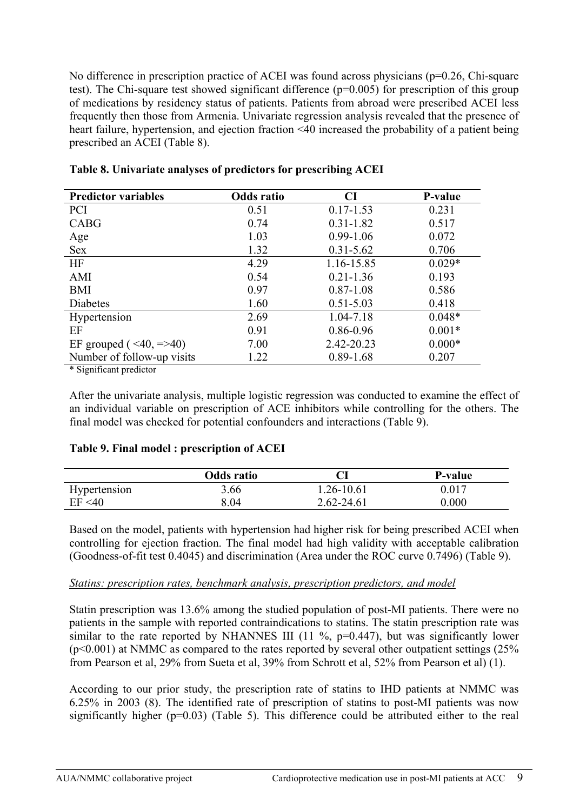No difference in prescription practice of ACEI was found across physicians (p=0.26, Chi-square test). The Chi-square test showed significant difference (p=0.005) for prescription of this group of medications by residency status of patients. Patients from abroad were prescribed ACEI less frequently then those from Armenia. Univariate regression analysis revealed that the presence of heart failure, hypertension, and ejection fraction <40 increased the probability of a patient being prescribed an ACEI (Table 8).

| <b>Predictor variables</b>           | Odds ratio | CI            | <b>P-value</b> |
|--------------------------------------|------------|---------------|----------------|
| <b>PCI</b>                           | 0.51       | $0.17 - 1.53$ | 0.231          |
| CABG                                 | 0.74       | $0.31 - 1.82$ | 0.517          |
| Age                                  | 1.03       | $0.99 - 1.06$ | 0.072          |
| <b>Sex</b>                           | 1.32       | $0.31 - 5.62$ | 0.706          |
| <b>HF</b>                            | 4.29       | 1.16-15.85    | $0.029*$       |
| AMI                                  | 0.54       | $0.21 - 1.36$ | 0.193          |
| <b>BMI</b>                           | 0.97       | $0.87 - 1.08$ | 0.586          |
| Diabetes                             | 1.60       | $0.51 - 5.03$ | 0.418          |
| Hypertension                         | 2.69       | 1.04-7.18     | $0.048*$       |
| EF                                   | 0.91       | 0.86-0.96     | $0.001*$       |
| EF grouped ( $\leq 40, \approx 40$ ) | 7.00       | 2.42-20.23    | $0.000*$       |
| Number of follow-up visits           | 1.22       | $0.89 - 1.68$ | 0.207          |

|  |  | Table 8. Univariate analyses of predictors for prescribing ACEI |
|--|--|-----------------------------------------------------------------|
|  |  |                                                                 |

\* Significant predictor

After the univariate analysis, multiple logistic regression was conducted to examine the effect of an individual variable on prescription of ACE inhibitors while controlling for the others. The final model was checked for potential confounders and interactions (Table 9).

#### **Table 9. Final model : prescription of ACEI**

|              | <b>Odds</b> ratio |                | <b>P-value</b> |
|--------------|-------------------|----------------|----------------|
| Hypertension | 3.66              | 1.26-10.61     | 0.017          |
| EF < 40      | 8.04              | $2.62 - 24.61$ | $0.000\,$      |

Based on the model, patients with hypertension had higher risk for being prescribed ACEI when controlling for ejection fraction. The final model had high validity with acceptable calibration (Goodness-of-fit test 0.4045) and discrimination (Area under the ROC curve 0.7496) (Table 9).

#### *Statins: prescription rates, benchmark analysis, prescription predictors, and model*

Statin prescription was 13.6% among the studied population of post-MI patients. There were no patients in the sample with reported contraindications to statins. The statin prescription rate was similar to the rate reported by NHANNES III (11 %,  $p=0.447$ ), but was significantly lower  $(p<0.001)$  at NMMC as compared to the rates reported by several other outpatient settings (25%) from Pearson et al, 29% from Sueta et al, 39% from Schrott et al, 52% from Pearson et al) (1).

According to our prior study, the prescription rate of statins to IHD patients at NMMC was 6.25% in 2003 (8). The identified rate of prescription of statins to post-MI patients was now significantly higher (p=0.03) (Table 5). This difference could be attributed either to the real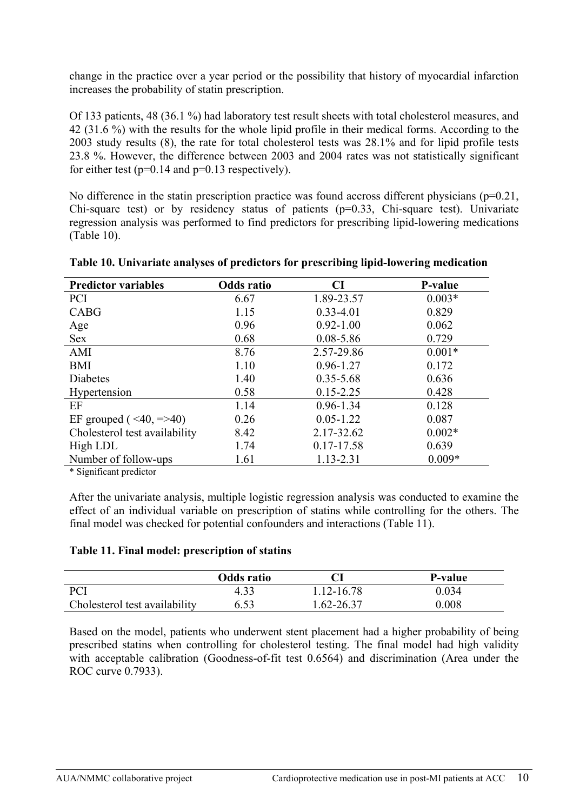change in the practice over a year period or the possibility that history of myocardial infarction increases the probability of statin prescription.

Of 133 patients, 48 (36.1 %) had laboratory test result sheets with total cholesterol measures, and 42 (31.6 %) with the results for the whole lipid profile in their medical forms. According to the 2003 study results (8), the rate for total cholesterol tests was 28.1% and for lipid profile tests 23.8 %. However, the difference between 2003 and 2004 rates was not statistically significant for either test  $(p=0.14$  and  $p=0.13$  respectively).

No difference in the statin prescription practice was found accross different physicians ( $p=0.21$ , Chi-square test) or by residency status of patients  $(p=0.33, Chi-square$  test). Univariate regression analysis was performed to find predictors for prescribing lipid-lowering medications (Table 10).

| <b>Predictor variables</b>           | <b>Odds</b> ratio | CI            | P-value  |
|--------------------------------------|-------------------|---------------|----------|
| <b>PCI</b>                           | 6.67              | 1.89-23.57    | $0.003*$ |
| <b>CABG</b>                          | 1.15              | $0.33 - 4.01$ | 0.829    |
| Age                                  | 0.96              | $0.92 - 1.00$ | 0.062    |
| <b>Sex</b>                           | 0.68              | $0.08 - 5.86$ | 0.729    |
| AMI                                  | 8.76              | 2.57-29.86    | $0.001*$ |
| <b>BMI</b>                           | 1.10              | $0.96 - 1.27$ | 0.172    |
| Diabetes                             | 1.40              | $0.35 - 5.68$ | 0.636    |
| Hypertension                         | 0.58              | $0.15 - 2.25$ | 0.428    |
| EF                                   | 1.14              | $0.96 - 1.34$ | 0.128    |
| EF grouped ( $\leq 40, \approx 40$ ) | 0.26              | $0.05 - 1.22$ | 0.087    |
| Cholesterol test availability        | 8.42              | 2.17-32.62    | $0.002*$ |
| High LDL                             | 1.74              | 0.17-17.58    | 0.639    |
| Number of follow-ups                 | 1.61              | 1.13-2.31     | $0.009*$ |

| Table 10. Univariate analyses of predictors for prescribing lipid-lowering medication |  |  |
|---------------------------------------------------------------------------------------|--|--|
|                                                                                       |  |  |

\* Significant predictor

After the univariate analysis, multiple logistic regression analysis was conducted to examine the effect of an individual variable on prescription of statins while controlling for the others. The final model was checked for potential confounders and interactions (Table 11).

#### **Table 11. Final model: prescription of statins**

|                               | Odds ratio |            | P-value   |
|-------------------------------|------------|------------|-----------|
| <b>PCI</b>                    | 4.33       | 1.12-16.78 | 0.034     |
| Cholesterol test availability | 6.53       | 1.62-26.37 | $0.008\,$ |

Based on the model, patients who underwent stent placement had a higher probability of being prescribed statins when controlling for cholesterol testing. The final model had high validity with acceptable calibration (Goodness-of-fit test 0.6564) and discrimination (Area under the ROC curve 0.7933).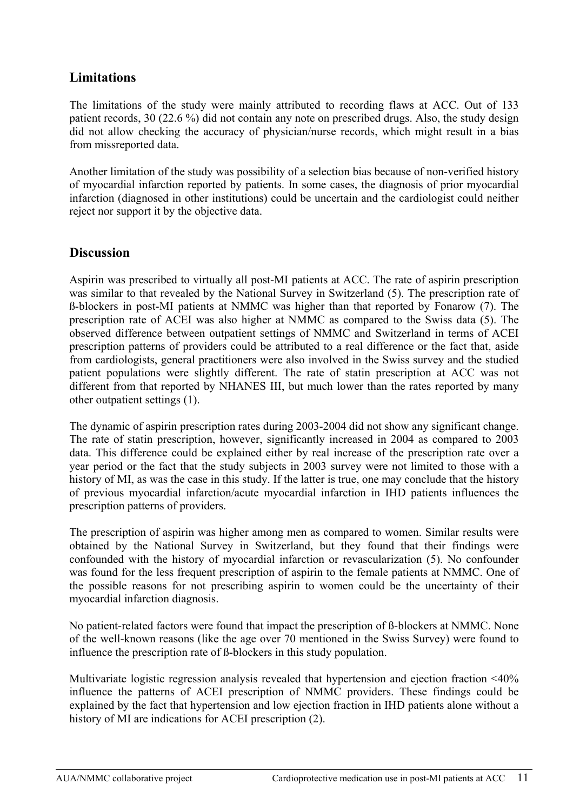# <span id="page-11-0"></span>**Limitations**

The limitations of the study were mainly attributed to recording flaws at ACC. Out of 133 patient records, 30 (22.6 %) did not contain any note on prescribed drugs. Also, the study design did not allow checking the accuracy of physician/nurse records, which might result in a bias from missreported data.

Another limitation of the study was possibility of a selection bias because of non-verified history of myocardial infarction reported by patients. In some cases, the diagnosis of prior myocardial infarction (diagnosed in other institutions) could be uncertain and the cardiologist could neither reject nor support it by the objective data.

## **Discussion**

Aspirin was prescribed to virtually all post-MI patients at ACC. The rate of aspirin prescription was similar to that revealed by the National Survey in Switzerland (5). The prescription rate of ß-blockers in post-MI patients at NMMC was higher than that reported by Fonarow (7). The prescription rate of ACEI was also higher at NMMC as compared to the Swiss data (5). The observed difference between outpatient settings of NMMC and Switzerland in terms of ACEI prescription patterns of providers could be attributed to a real difference or the fact that, aside from cardiologists, general practitioners were also involved in the Swiss survey and the studied patient populations were slightly different. The rate of statin prescription at ACC was not different from that reported by NHANES III, but much lower than the rates reported by many other outpatient settings (1).

The dynamic of aspirin prescription rates during 2003-2004 did not show any significant change. The rate of statin prescription, however, significantly increased in 2004 as compared to 2003 data. This difference could be explained either by real increase of the prescription rate over a year period or the fact that the study subjects in 2003 survey were not limited to those with a history of MI, as was the case in this study. If the latter is true, one may conclude that the history of previous myocardial infarction/acute myocardial infarction in IHD patients influences the prescription patterns of providers.

The prescription of aspirin was higher among men as compared to women. Similar results were obtained by the National Survey in Switzerland, but they found that their findings were confounded with the history of myocardial infarction or revascularization (5). No confounder was found for the less frequent prescription of aspirin to the female patients at NMMC. One of the possible reasons for not prescribing aspirin to women could be the uncertainty of their myocardial infarction diagnosis.

No patient-related factors were found that impact the prescription of ß-blockers at NMMC. None of the well-known reasons (like the age over 70 mentioned in the Swiss Survey) were found to influence the prescription rate of ß-blockers in this study population.

Multivariate logistic regression analysis revealed that hypertension and ejection fraction <40% influence the patterns of ACEI prescription of NMMC providers. These findings could be explained by the fact that hypertension and low ejection fraction in IHD patients alone without a history of MI are indications for ACEI prescription (2).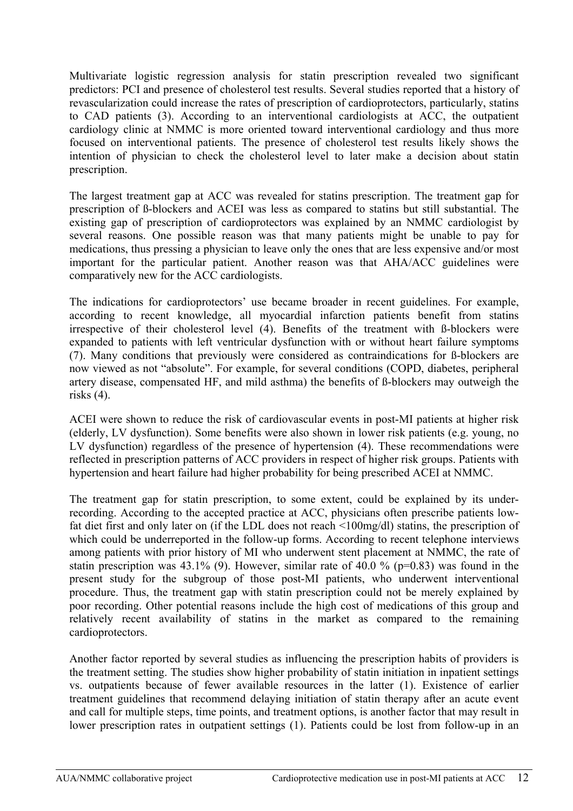Multivariate logistic regression analysis for statin prescription revealed two significant predictors: PCI and presence of cholesterol test results. Several studies reported that a history of revascularization could increase the rates of prescription of cardioprotectors, particularly, statins to CAD patients (3). According to an interventional cardiologists at ACC, the outpatient cardiology clinic at NMMC is more oriented toward interventional cardiology and thus more focused on interventional patients. The presence of cholesterol test results likely shows the intention of physician to check the cholesterol level to later make a decision about statin prescription.

The largest treatment gap at ACC was revealed for statins prescription. The treatment gap for prescription of ß-blockers and ACEI was less as compared to statins but still substantial. The existing gap of prescription of cardioprotectors was explained by an NMMC cardiologist by several reasons. One possible reason was that many patients might be unable to pay for medications, thus pressing a physician to leave only the ones that are less expensive and/or most important for the particular patient. Another reason was that AHA/ACC guidelines were comparatively new for the ACC cardiologists.

The indications for cardioprotectors' use became broader in recent guidelines. For example, according to recent knowledge, all myocardial infarction patients benefit from statins irrespective of their cholesterol level (4). Benefits of the treatment with ß-blockers were expanded to patients with left ventricular dysfunction with or without heart failure symptoms (7). Many conditions that previously were considered as contraindications for ß-blockers are now viewed as not "absolute". For example, for several conditions (COPD, diabetes, peripheral artery disease, compensated HF, and mild asthma) the benefits of ß-blockers may outweigh the risks (4).

ACEI were shown to reduce the risk of cardiovascular events in post-MI patients at higher risk (elderly, LV dysfunction). Some benefits were also shown in lower risk patients (e.g. young, no LV dysfunction) regardless of the presence of hypertension (4). These recommendations were reflected in prescription patterns of ACC providers in respect of higher risk groups. Patients with hypertension and heart failure had higher probability for being prescribed ACEI at NMMC.

The treatment gap for statin prescription, to some extent, could be explained by its underrecording. According to the accepted practice at ACC, physicians often prescribe patients lowfat diet first and only later on (if the LDL does not reach <100mg/dl) statins, the prescription of which could be underreported in the follow-up forms. According to recent telephone interviews among patients with prior history of MI who underwent stent placement at NMMC, the rate of statin prescription was  $43.1\%$  (9). However, similar rate of  $40.0\%$  (p=0.83) was found in the present study for the subgroup of those post-MI patients, who underwent interventional procedure. Thus, the treatment gap with statin prescription could not be merely explained by poor recording. Other potential reasons include the high cost of medications of this group and relatively recent availability of statins in the market as compared to the remaining cardioprotectors.

Another factor reported by several studies as influencing the prescription habits of providers is the treatment setting. The studies show higher probability of statin initiation in inpatient settings vs. outpatients because of fewer available resources in the latter (1). Existence of earlier treatment guidelines that recommend delaying initiation of statin therapy after an acute event and call for multiple steps, time points, and treatment options, is another factor that may result in lower prescription rates in outpatient settings (1). Patients could be lost from follow-up in an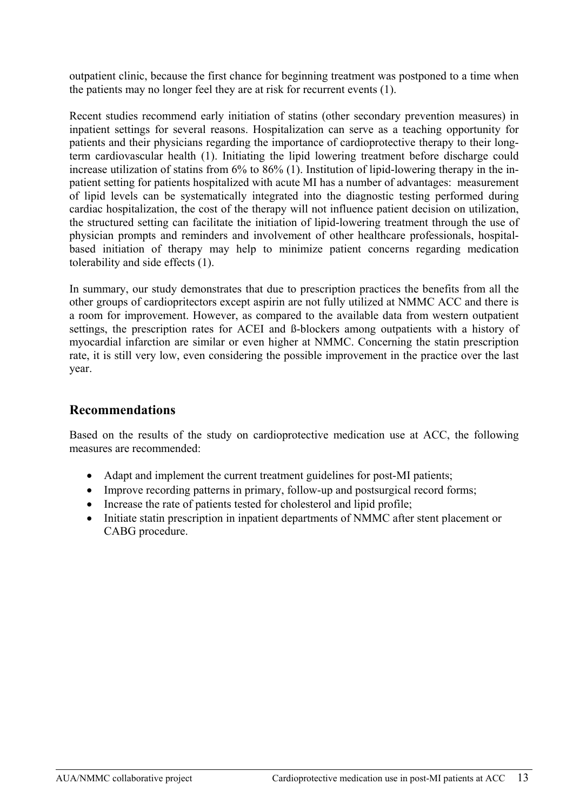<span id="page-13-0"></span>outpatient clinic, because the first chance for beginning treatment was postponed to a time when the patients may no longer feel they are at risk for recurrent events (1).

Recent studies recommend early initiation of statins (other secondary prevention measures) in inpatient settings for several reasons. Hospitalization can serve as a teaching opportunity for patients and their physicians regarding the importance of cardioprotective therapy to their longterm cardiovascular health (1). Initiating the lipid lowering treatment before discharge could increase utilization of statins from 6% to 86% (1). Institution of lipid-lowering therapy in the inpatient setting for patients hospitalized with acute MI has a number of advantages: measurement of lipid levels can be systematically integrated into the diagnostic testing performed during cardiac hospitalization, the cost of the therapy will not influence patient decision on utilization, the structured setting can facilitate the initiation of lipid-lowering treatment through the use of physician prompts and reminders and involvement of other healthcare professionals, hospitalbased initiation of therapy may help to minimize patient concerns regarding medication tolerability and side effects (1).

In summary, our study demonstrates that due to prescription practices the benefits from all the other groups of cardiopritectors except aspirin are not fully utilized at NMMC ACC and there is a room for improvement. However, as compared to the available data from western outpatient settings, the prescription rates for ACEI and ß-blockers among outpatients with a history of myocardial infarction are similar or even higher at NMMC. Concerning the statin prescription rate, it is still very low, even considering the possible improvement in the practice over the last year.

## **Recommendations**

Based on the results of the study on cardioprotective medication use at ACC, the following measures are recommended:

- Adapt and implement the current treatment guidelines for post-MI patients;
- Improve recording patterns in primary, follow-up and postsurgical record forms;
- Increase the rate of patients tested for cholesterol and lipid profile;
- Initiate statin prescription in inpatient departments of NMMC after stent placement or CABG procedure.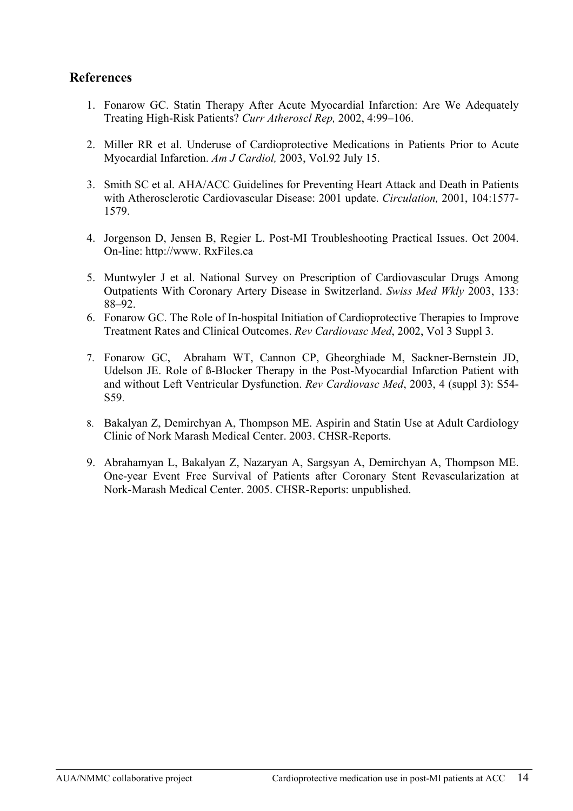## <span id="page-14-0"></span>**References**

- 1. Fonarow GC. Statin Therapy After Acute Myocardial Infarction: Are We Adequately Treating High-Risk Patients? *Curr Atheroscl Rep,* 2002, 4:99–106.
- 2. Miller RR et al. Underuse of Cardioprotective Medications in Patients Prior to Acute Myocardial Infarction. *Am J Cardiol,* 2003, Vol.92 July 15.
- 3. Smith SC et al. AHA/ACC Guidelines for Preventing Heart Attack and Death in Patients with Atherosclerotic Cardiovascular Disease: 2001 update. *Circulation,* 2001, 104:1577- 1579.
- 4. Jorgenson D, Jensen B, Regier L. Post-MI Troubleshooting Practical Issues. Oct 2004. On-line: http://www. RxFiles.ca
- 5. Muntwyler J et al. National Survey on Prescription of Cardiovascular Drugs Among Outpatients With Coronary Artery Disease in Switzerland. *Swiss Med Wkly* 2003, 133: 88–92.
- 6. Fonarow GC. The Role of In-hospital Initiation of Cardioprotective Therapies to Improve Treatment Rates and Clinical Outcomes. *Rev Cardiovasc Med*, 2002, Vol 3 Suppl 3.
- 7. Fonarow GC, Abraham WT, Cannon CP, Gheorghiade M, Sackner-Bernstein JD, Udelson JE. Role of ß-Blocker Therapy in the Post-Myocardial Infarction Patient with and without Left Ventricular Dysfunction. *Rev Cardiovasc Med*, 2003, 4 (suppl 3): S54- S59.
- 8. Bakalyan Z, Demirchyan A, Thompson ME. Aspirin and Statin Use at Adult Cardiology Clinic of Nork Marash Medical Center. 2003. CHSR-Reports.
- 9. Abrahamyan L, Bakalyan Z, Nazaryan A, Sargsyan A, Demirchyan A, Thompson ME. One-year Event Free Survival of Patients after Coronary Stent Revascularization at Nork-Marash Medical Center. 2005. CHSR-Reports: unpublished.